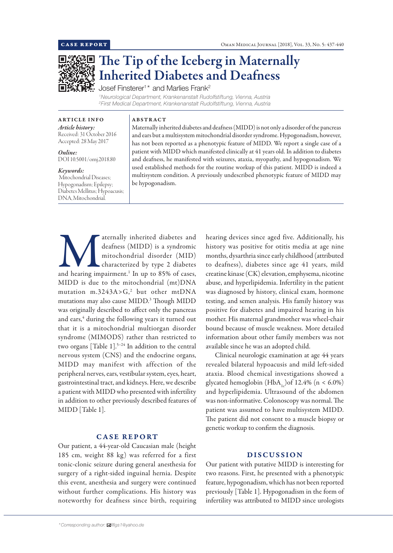

# The Tip of the Iceberg in Maternally Inherited Diabetes and Deafness

Josef Finsterer $1^\star$  and Marlies Frank $^2$ 

*1 Neurological Department, Krankenanstalt Rudolfstiftung, Vienna, Austria 2 First Medical Department, Krankenanstalt Rudolfstiftung, Vienna, Austria*

ARTICLE INFO *Article history:* Received: 31 October 2016 Accepted: 28 May 2017

*Online:* DOI 10.5001/omj.2018.80

#### *Keywords:*

 Mitochondrial Diseases; Hypogonadism; Epilepsy; Diabetes Mellitus; Hypoacusis; DNA, Mitochondrial.

# ABSTRACT

Maternally inherited diabetes and deafness (MIDD) is not only a disorder of the pancreas and ears but a multisystem mitochondrial disorder syndrome. Hypogonadism, however, has not been reported as a phenotypic feature of MIDD. We report a single case of a patient with MIDD which manifested clinically at 41 years old. In addition to diabetes and deafness, he manifested with seizures, ataxia, myopathy, and hypogonadism. We used established methods for the routine workup of this patient. MIDD is indeed a multisystem condition. A previously undescribed phenotypic feature of MIDD may be hypogonadism.

aternally inherited diabetes and<br>deafness (MIDD) is a syndromic<br>mitochondrial disorder (MID)<br>characterized by type 2 diabetes<br>and hearing impairment.<sup>1</sup> In up to 85% of cases, deafness (MIDD) is a syndromic mitochondrial disorder (MID) characterized by type 2 diabetes MIDD is due to the mitochondrial (mt)DNA mutation  $m.3243A > G<sub>z</sub>$  but other  $mtDNA$ mutations may also cause MIDD.3 Though MIDD was originally described to affect only the pancreas and ears,<sup>4</sup> during the following years it turned out that it is a mitochondrial multiorgan disorder syndrome (MIMODS) rather than restricted to two organs [Table  $1$ ].<sup>5-24</sup> In addition to the central nervous system (CNS) and the endocrine organs, MIDD may manifest with affection of the peripheral nerves, ears, vestibular system, eyes, heart, gastrointestinal tract, and kidneys. Here, we describe a patient with MIDD who presented with infertility in addition to other previously described features of MIDD [Table 1].

## CASE REPORT

Our patient, a 44-year-old Caucasian male (height 185 cm, weight 88 kg) was referred for a first tonic-clonic seizure during general anesthesia for surgery of a right-sided inguinal hernia. Despite this event, anesthesia and surgery were continued without further complications. His history was noteworthy for deafness since birth, requiring

hearing devices since aged five. Additionally, his history was positive for otitis media at age nine months, dysarthria since early childhood (attributed to deafness), diabetes since age 41 years, mild creatine kinase (CK) elevation, emphysema, nicotine abuse, and hyperlipidemia. Infertility in the patient was diagnosed by history, clinical exam, hormone testing, and semen analysis. His family history was positive for diabetes and impaired hearing in his mother. His maternal grandmother was wheel-chair bound because of muscle weakness. More detailed information about other family members was not available since he was an adopted child.

Clinical neurologic examination at age 44 years revealed bilateral hypoacusis and mild left-sided ataxia. Blood chemical investigations showed a glycated hemoglobin (HbA<sub>1c</sub>)of 12.4% (n <  $6.0\%$ ) and hyperlipidemia. Ultrasound of the abdomen was non-informative. Colonoscopy was normal. The patient was assumed to have multisystem MIDD. The patient did not consent to a muscle biopsy or genetic workup to confirm the diagnosis.

### DISCUSSION

Our patient with putative MIDD is interesting for two reasons. First, he presented with a phenotypic feature, hypogonadism, which has not been reported previously [Table 1]. Hypogonadism in the form of infertility was attributed to MIDD since urologists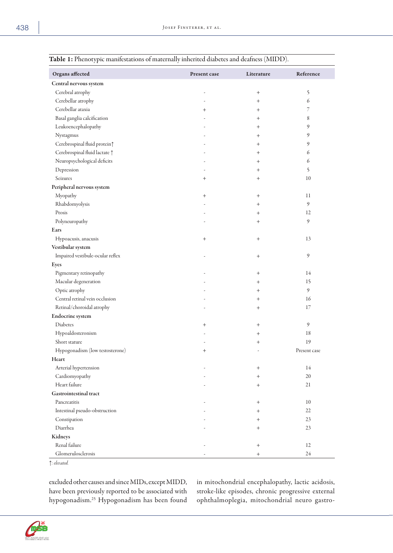| J 1                              |              |                 |              |
|----------------------------------|--------------|-----------------|--------------|
| Organs affected                  | Present case | Literature      | Reference    |
| Central nervous system           |              |                 |              |
| Cerebral atrophy                 |              | $\! + \!\!\!\!$ | 5            |
| Cerebellar atrophy               |              | $^{+}$          | 6            |
| Cerebellar ataxia                | $^{+}$       | $\overline{+}$  | 7            |
| Basal ganglia calcification      |              | $^+$            | 8            |
| Leukoencephalopathy              |              | $^+$            | 9            |
| Nystagmus                        |              | $^+$            | 9            |
| Cerebrospinal fluid protein?     |              | $^{+}$          | 9            |
| Cerebrospinal fluid lactate 1    |              | $^+$            | 6            |
| Neuropsychological deficits      |              | $^{+}$          | 6            |
| Depression                       |              | $^{+}$          | 5            |
| Seizures                         | $^{+}$       | $^{+}$          | 10           |
| Peripheral nervous system        |              |                 |              |
| Myopathy                         | $^{+}$       | $^{+}$          | 11           |
| Rhabdomyolysis                   |              | $^{+}$          | 9            |
| Ptosis                           |              | $^{+}$          | 12           |
| Polyneuropathy                   |              | $^{+}$          | 9            |
| Ears                             |              |                 |              |
| Hypoacusis, anacusis             | $^{+}$       | $\! + \!\!\!\!$ | 13           |
| Vestibular system                |              |                 |              |
| Impaired vestibule-ocular reflex |              | $\! + \!\!\!\!$ | 9            |
| Eyes                             |              |                 |              |
| Pigmentary retinopathy           |              | $\! + \!\!\!\!$ | 14           |
| Macular degeneration             |              | $^{+}$          | 15           |
| Optic atrophy                    |              | $\overline{+}$  | 9            |
| Central retinal vein occlusion   |              | $^{+}$          | 16           |
| Retinal/choroidal atrophy        |              | $\overline{+}$  | 17           |
| Endocrine system                 |              |                 |              |
| Diabetes                         | $^{+}$       | $^{+}$          | 9            |
| Hypoaldosteronism                |              | $^{+}$          | 18           |
| Short stature                    |              | $\,+\,$         | 19           |
| Hypogonadism (low testosterone)  | $^{+}$       |                 | Present case |
| Heart                            |              |                 |              |
| Arterial hypertension            |              | $^{+}$          | 14           |
| Cardiomyopathy                   |              | $^{+}$          | 20           |
| Heart failure                    |              | $^{+}$          | 21           |
| <b>Gastrointestinal tract</b>    |              |                 |              |
| Pancreatitis                     |              | $^{+}$          | $10\,$       |
| Intestinal pseudo-obstruction    |              | $\overline{+}$  | 22           |
| Constipation                     |              | $^{+}$          | 23           |
| Diarrhea                         |              | $\overline{+}$  | 23           |
| Kidneys                          |              |                 |              |
| Renal failure                    |              | $\! + \!\!\!\!$ | 12           |
| Glomerulosclerosis               |              | $^{+}$          | 24           |
|                                  |              |                 |              |

Table 1: Phenotypic manifestations of maternally inherited diabetes and deafness (MIDD).

↑*: elevated.*

excluded other causes and since MIDs, except MIDD, have been previously reported to be associated with hypogonadism.25 Hypogonadism has been found

in mitochondrial encephalopathy, lactic acidosis, stroke-like episodes, chronic progressive external ophthalmoplegia, mitochondrial neuro gastro-

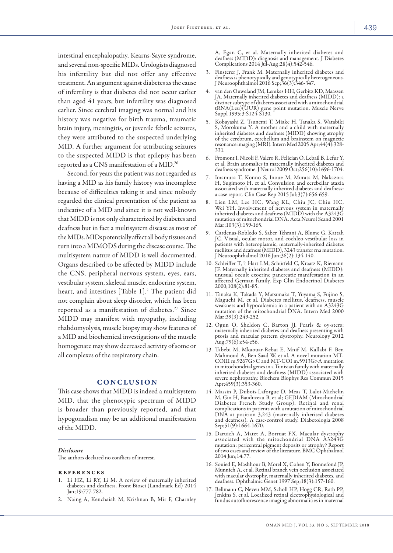intestinal encephalopathy, Kearns-Sayre syndrome, and several non-specific MIDs. Urologists diagnosed his infertility but did not offer any effective treatment. An argument against diabetes as the cause of infertility is that diabetes did not occur earlier than aged 41 years, but infertility was diagnosed earlier. Since cerebral imaging was normal and his history was negative for birth trauma, traumatic brain injury, meningitis, or juvenile febrile seizures, they were attributed to the suspected underlying MID. A further argument for attributing seizures to the suspected MIDD is that epilepsy has been reported as a CNS manifestation of a MID.26

Second, for years the patient was not regarded as having a MID as his family history was incomplete because of difficulties taking it and since nobody regarded the clinical presentation of the patient as indicative of a MID and since it is not well-known that MIDD is not only characterized by diabetes and deafness but in fact a multisystem disease as most of the MIDs. MIDs potentially affect all body tissues and turn into a MIMODS during the disease course. The multisystem nature of MIDD is well documented. Organs described to be affected by MIDD include the CNS, peripheral nervous system, eyes, ears, vestibular system, skeletal muscle, endocrine system, heart, and intestines [Table 1].<sup>2</sup> The patient did not complain about sleep disorder, which has been reported as a manifestation of diabetes.<sup>27</sup> Since MIDD may manifest with myopathy, including rhabdomyolysis, muscle biopsy may show features of a MID and biochemical investigations of the muscle homogenate may show decreased activity of some or all complexes of the respiratory chain.

## **CONCLUSION**

This case shows that MIDD is indeed a multisystem MID, that the phenotypic spectrum of MIDD is broader than previously reported, and that hypogonadism may be an additional manifestation of the MIDD.

#### *Disclosure*

The authors declared no conflicts of interest.

#### **REFERENCES**

- 1. Li HZ, Li RY, Li M. A review of maternally inherited diabetes and deafness. Front Biosci (Landmark Ed) 2014 Jan;19:777-782.
- 2. Naing A, Kenchaiah M, Krishnan B, Mir F, Charnley

A, Egan C, et al. Maternally inherited diabetes and deafness (MIDD): diagnosis and management. J Diabetes Complications 2014 Jul-Aug;28(4):542-546.

- 3. Finsterer J, Frank M. Maternally inherited diabetes and deafness is phenotypically and genotypically heterogeneous. J Neuroophthalmol 2016 Sep;36(3):346-347.
- 4. van den Ouweland JM, Lemkes HH, Gerbitz KD, Maassen JA. Maternally inherited diabetes and deafness (MIDD): a distinct subtype of diabetes associated with a mitochondrial tRNA(Leu)(UUR) gene point mutation. Muscle Nerve Suppl 1995;3:S124-S130.
- 5. Kobayashi Z, Tsunemi T, Miake H, Tanaka S, Watabiki S, Morokuma Y. A mother and a child with maternally inherited diabetes and deafness (MIDD) showing atrophy of the cerebrum, cerebellum and brainstem on magnetic resonance imaging (MRI). Intern Med 2005 Apr;44(4):328- 331.
- 6. Fromont I, Nicoli F, Valéro R, Felician O, Lebail B, Lefur Y, et al. Brain anomalies in maternally inherited diabetes and deafness syndrome. J Neurol 2009 Oct;256(10):1696-1704.
- 7. Imamura T, Konno S, Inoue M, Murata M, Nakazora H, Sugimoto H, et al. Convulsion and cerebellar ataxia associated with maternally inherited diabetes and deafness: a case report. Clin Case Rep 2015 Jul;3(7):656-659.
- 8. Lien LM, Lee HC, Wang KL, Chiu JC, Chiu HC, Wei YH. Involvement of nervous system in maternally inherited diabetes and deafness (MIDD) with the A3243G mutation of mitochondrial DNA. Acta Neurol Scand 2001 Mar;103(3):159-165.
- 9. Cardenas-Robledo S, Saber Tehrani A, Blume G, Kattah JC. Visual, ocular motor, and cochleo-vestibular loss in patients with heteroplasmic, maternally-inherited diabetes mellitus and deafness (MIDD), 3243 transfer rna mutation. J Neuroophthalmol 2016 Jun;36(2):134-140.
- 10. Schleiffer T, 't Hart LM, Schürfeld C, Kraatz K, Riemann JF. Maternally inherited diabetes and deafness (MIDD): unusual occult exocrine pancreatic manifestation in an affected German family. Exp Clin Endocrinol Diabetes 2000;108(2):81-85.
- 11. Tanaka K, Takada Y, Matsunaka T, Yuyama S, Fujino S, Maguchi M, et al. Diabetes mellitus, deafness, muscle weakness and hypocalcemia in a patient with an A3243G mutation of the mitochondrial DNA. Intern Med 2000 Mar;39(3):249-252.
- 12. Ogun O, Sheldon C, Barton JJ. Pearls & oy-sters: maternally inherited diabetes and deafness presenting with ptosis and macular pattern dystrophy. Neurology 2012 Aug;79(6):e54-e56.
- 13. Tabebi M, Mkaouar-Rebai E, Mnif M, Kallabi F, Ben Mahmoud A, Ben Saad W, et al. A novel mutation MT-COIII m.9267G>C and MT-COI m.5913G>A mutation in mitochondrial genes in a Tunisian family with maternally inherited diabetes and deafness (MIDD) associated with severe nephropathy. Biochem Biophys Res Commun 2015 Apr;459(3):353-360.
- 14. Massin P, Dubois-Laforgue D, Meas T, Laloi-Michelin M, Gin H, Bauduceau B, et al; GEDIAM (Mitochondrial Diabetes French Study Group). Retinal and renal complications in patients with a mutation of mitochondrial DNA at position 3,243 (maternally inherited diabetes and deafness). A case-control study. Diabetologia 2008 Sep;51(9):1664-1670.
- 15. Daruich A, Matet A, Borruat FX. Macular dystrophy associated with the mitochondrial DNA A3243G<br>mutation: pericentral pigment deposits or atrophy? Report of two cases and review of the literature. BMC Ophthalmol 2014 Jun;14:77.
- 16. Souied E, Mashhour B, Morel X, Cohen Y, Bonnefond JP, Munnich A, et al. Retinal branch vein occlusion associated with macular dystrophy, maternally inherited diabetes, and deafness. Ophthalmic Genet 1997 Sep;18(3):157-160.
- 17. Bellmann C, Neveu MM, Scholl HP, Hogg CR, Rath PP, Jenkins S, et al. Localized retinal electrophysiological and fundus autofluorescence imaging abnormalities in maternal